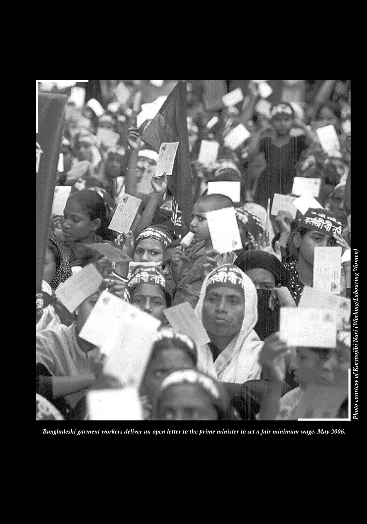

 *Bangladeshi garment workers deliver an open letter to the prime minister to set a fair minimum wage, May 2006.*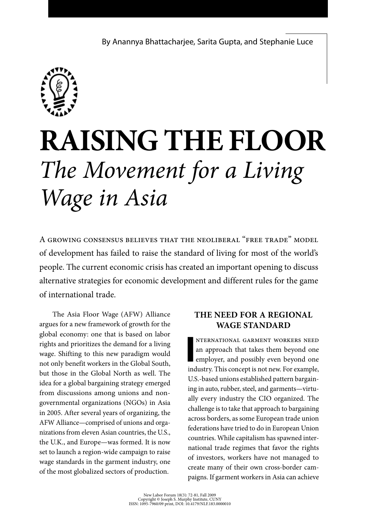

# **Raising the Floor**  *The Movement for a Living Wage in Asia*

A growing consensus believes that the neoliberal "free trade" model of development has failed to raise the standard of living for most of the world's people. The current economic crisis has created an important opening to discuss alternative strategies for economic development and different rules for the game of international trade.

The Asia Floor Wage (AFW) Alliance argues for a new framework of growth for the global economy: one that is based on labor rights and prioritizes the demand for a living wage. Shifting to this new paradigm would not only benefit workers in the Global South, but those in the Global North as well. The idea for a global bargaining strategy emerged from discussions among unions and nongovernmental organizations (NGOs) in Asia in 2005. After several years of organizing, the AFW Alliance—comprised of unions and organizations from eleven Asian countries, the U.S., the U.K., and Europe—was formed. It is now set to launch a region-wide campaign to raise wage standards in the garment industry, one of the most globalized sectors of production.

#### **The Need for a Regional Wage Standard**

**I** nternational garment workers need an approach that takes them beyond one employer, and possibly even beyond one industry. This concept is not new. For example, U.S.-based unions established pattern bargaining in auto, rubber, steel, and garments—virtually every industry the CIO organized. The challenge is to take that approach to bargaining across borders, as some European trade union federations have tried to do in European Union countries. While capitalism has spawned international trade regimes that favor the rights of investors, workers have not managed to create many of their own cross-border campaigns. If garment workers in Asia can achieve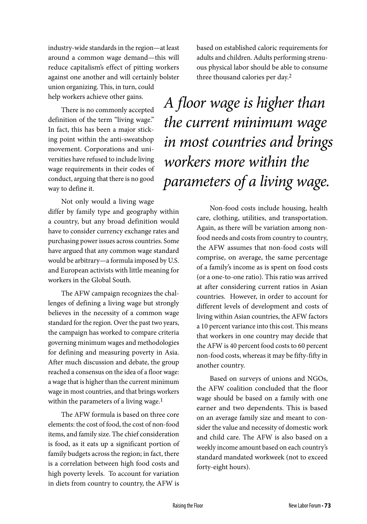industry-wide standards in the region—at least around a common wage demand—this will reduce capitalism's effect of pitting workers against one another and will certainly bolster union organizing. This, in turn, could help workers achieve other gains.

There is no commonly accepted definition of the term "living wage." In fact, this has been a major sticking point within the anti-sweatshop movement. Corporations and universities have refused to include living wage requirements in their codes of conduct, arguing that there is no good way to define it.

Not only would a living wage differ by family type and geography within a country, but any broad definition would have to consider currency exchange rates and purchasing power issues across countries. Some have argued that any common wage standard would be arbitrary—a formula imposed by U.S. and European activists with little meaning for workers in the Global South.

The AFW campaign recognizes the challenges of defining a living wage but strongly believes in the necessity of a common wage standard for the region. Over the past two years, the campaign has worked to compare criteria governing minimum wages and methodologies for defining and measuring poverty in Asia. After much discussion and debate, the group reached a consensus on the idea of a floor wage: a wage that is higher than the current minimum wage in most countries, and that brings workers within the parameters of a living wage.<sup>1</sup>

The AFW formula is based on three core elements: the cost of food, the cost of non-food items, and family size. The chief consideration is food, as it eats up a significant portion of family budgets across the region; in fact, there is a correlation between high food costs and high poverty levels. To account for variation in diets from country to country, the AFW is

based on established caloric requirements for adults and children. Adults performing strenuous physical labor should be able to consume three thousand calories per day.2

*A floor wage is higher than the current minimum wage in most countries and brings workers more within the parameters of a living wage.* 

> Non-food costs include housing, health care, clothing, utilities, and transportation. Again, as there will be variation among nonfood needs and costs from country to country, the AFW assumes that non-food costs will comprise, on average, the same percentage of a family's income as is spent on food costs (or a one-to-one ratio). This ratio was arrived at after considering current ratios in Asian countries. However, in order to account for different levels of development and costs of living within Asian countries, the AFW factors a 10 percent variance into this cost. This means that workers in one country may decide that the AFW is 40 percent food costs to 60 percent non-food costs, whereas it may be fifty-fifty in another country.

> Based on surveys of unions and NGOs, the AFW coalition concluded that the floor wage should be based on a family with one earner and two dependents. This is based on an average family size and meant to consider the value and necessity of domestic work and child care. The AFW is also based on a weekly income amount based on each country's standard mandated workweek (not to exceed forty-eight hours).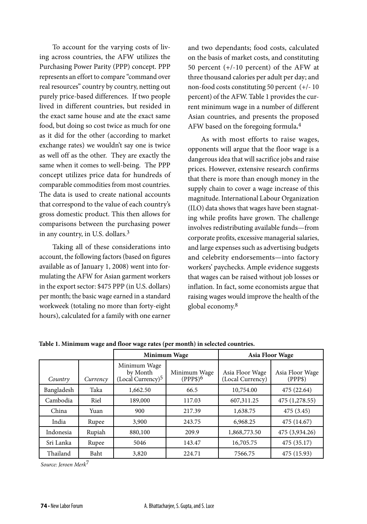To account for the varying costs of living across countries, the AFW utilizes the Purchasing Power Parity (PPP) concept. PPP represents an effort to compare "command over real resources" country by country, netting out purely price-based differences. If two people lived in different countries, but resided in the exact same house and ate the exact same food, but doing so cost twice as much for one as it did for the other (according to market exchange rates) we wouldn't say one is twice as well off as the other. They are exactly the same when it comes to well-being. The PPP concept utilizes price data for hundreds of comparable commodities from most countries. The data is used to create national accounts that correspond to the value of each country's gross domestic product. This then allows for comparisons between the purchasing power in any country, in U.S. dollars.3

Taking all of these considerations into account, the following factors (based on figures available as of January 1, 2008) went into formulating the AFW for Asian garment workers in the export sector: \$475 PPP (in U.S. dollars) per month; the basic wage earned in a standard workweek (totaling no more than forty-eight hours), calculated for a family with one earner

and two dependants; food costs, calculated on the basis of market costs, and constituting 50 percent (+/-10 percent) of the AFW at three thousand calories per adult per day; and non-food costs constituting 50 percent (+/- 10 percent) of the AFW. Table 1 provides the current minimum wage in a number of different Asian countries, and presents the proposed AFW based on the foregoing formula**.** 4

As with most efforts to raise wages, opponents will argue that the floor wage is a dangerous idea that will sacrifice jobs and raise prices. However, extensive research confirms that there is more than enough money in the supply chain to cover a wage increase of this magnitude. International Labour Organization (ILO) data shows that wages have been stagnating while profits have grown. The challenge involves redistributing available funds—from corporate profits, excessive managerial salaries, and large expenses such as advertising budgets and celebrity endorsements—into factory workers' paychecks. Ample evidence suggests that wages can be raised without job losses or inflation. In fact, some economists argue that raising wages would improve the health of the global economy.8

|            |          | Minimum Wage                                              |                            | Asia Floor Wage                     |                            |
|------------|----------|-----------------------------------------------------------|----------------------------|-------------------------------------|----------------------------|
| Country    | Currency | Minimum Wage<br>by Month<br>(Local Currency) <sup>5</sup> | Minimum Wage<br>$(PPP$)^6$ | Asia Floor Wage<br>(Local Currency) | Asia Floor Wage<br>(PPP\$) |
| Bangladesh | Taka     | 1,662.50                                                  | 66.5                       | 10,754.00                           | 475 (22.64)                |
| Cambodia   | Riel     | 189,000                                                   | 117.03                     | 607,311.25                          | 475 (1,278.55)             |
| China      | Yuan     | 900                                                       | 217.39                     | 1,638.75                            | 475 (3.45)                 |
| India      | Rupee    | 3,900                                                     | 243.75                     | 6,968.25                            | 475 (14.67)                |
| Indonesia  | Rupiah   | 880,100                                                   | 209.9                      | 1,868,773.50                        | 475 (3,934.26)             |
| Sri Lanka  | Rupee    | 5046                                                      | 143.47                     | 16,705.75                           | 475 (35.17)                |
| Thailand   | Baht     | 3,820                                                     | 224.71                     | 7566.75                             | 475 (15.93)                |

**Table 1. Minimum wage and floor wage rates (per month) in selected countries.** 

*Source: Jeroen Merk*7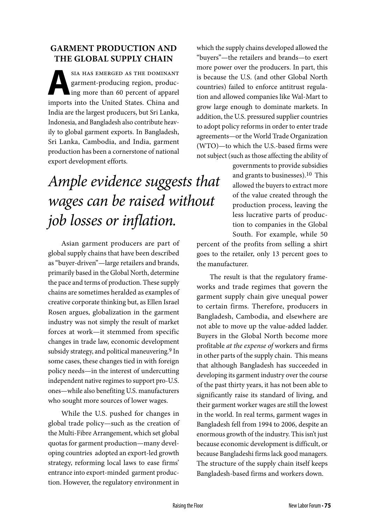#### **Garment Production and the Global Supply Chain**

SIA HAS EMERGED AS THE DOMINANT<br>
garment-producing region, produc-<br>
ing more than 60 percent of apparel<br>
inneate inte the United States Chine and garment-producing region, producimports into the United States. China and India are the largest producers, but Sri Lanka, Indonesia, and Bangladesh also contribute heavily to global garment exports. In Bangladesh, Sri Lanka, Cambodia, and India, garment production has been a cornerstone of national export development efforts.

### *Ample evidence suggests that wages can be raised without job losses or inflation.*

Asian garment producers are part of global supply chains that have been described as "buyer-driven"—large retailers and brands, primarily based in the Global North, determine the pace and terms of production. These supply chains are sometimes heralded as examples of creative corporate thinking but, as Ellen Israel Rosen argues, globalization in the garment industry was not simply the result of market forces at work—it stemmed from specific changes in trade law, economic development subsidy strategy, and political maneuvering.<sup>9</sup> In some cases, these changes tied in with foreign policy needs—in the interest of undercutting independent native regimes to support pro-U.S. ones—while also benefiting U.S. manufacturers who sought more sources of lower wages.

While the U.S. pushed for changes in global trade policy—such as the creation of the Multi-Fibre Arrangement, which set global quotas for garment production—many developing countries adopted an export-led growth strategy, reforming local laws to ease firms' entrance into export-minded garment production. However, the regulatory environment in

which the supply chains developed allowed the "buyers"—the retailers and brands—to exert more power over the producers. In part, this is because the U.S. (and other Global North countries) failed to enforce antitrust regulation and allowed companies like Wal-Mart to grow large enough to dominate markets. In addition, the U.S. pressured supplier countries to adopt policy reforms in order to enter trade agreements—or the World Trade Organization (WTO)—to which the U.S.-based firms were not subject (such as those affecting the ability of

> governments to provide subsidies and grants to businesses).10 This allowed the buyers to extract more of the value created through the production process, leaving the less lucrative parts of production to companies in the Global South. For example, while 50

percent of the profits from selling a shirt goes to the retailer, only 13 percent goes to the manufacturer.

The result is that the regulatory frameworks and trade regimes that govern the garment supply chain give unequal power to certain firms. Therefore, producers in Bangladesh, Cambodia, and elsewhere are not able to move up the value-added ladder. Buyers in the Global North become more profitable *at the expense of* workers and firms in other parts of the supply chain. This means that although Bangladesh has succeeded in developing its garment industry over the course of the past thirty years, it has not been able to significantly raise its standard of living, and their garment worker wages are still the lowest in the world. In real terms, garment wages in Bangladesh fell from 1994 to 2006, despite an enormous growth of the industry. This isn't just because economic development is difficult, or because Bangladeshi firms lack good managers. The structure of the supply chain itself keeps Bangladesh-based firms and workers down.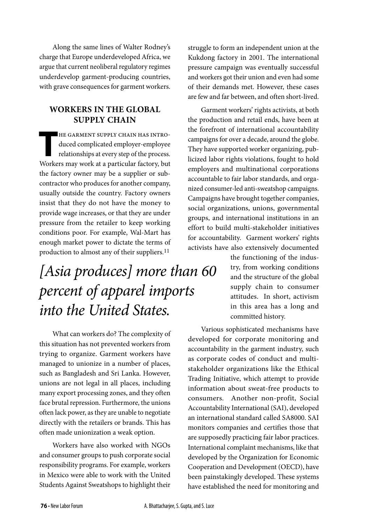Along the same lines of Walter Rodney's charge that Europe underdeveloped Africa, we argue that current neoliberal regulatory regimes underdevelop garment-producing countries, with grave consequences for garment workers.

#### **Workers in the Global Supply Chain**

THE GARMENT SUPPLY CHAIN HAS INTRO-<br>duced complicated employer-employee<br>relationships at every step of the process. duced complicated employer-employee relationships at every step of the process. Workers may work at a particular factory, but the factory owner may be a supplier or subcontractor who produces for another company, usually outside the country. Factory owners insist that they do not have the money to provide wage increases, or that they are under pressure from the retailer to keep working conditions poor. For example, Wal-Mart has enough market power to dictate the terms of production to almost any of their suppliers.<sup>11</sup>

### *[Asia produces] more than 60 percent of apparel imports into the United States.*

What can workers do? The complexity of this situation has not prevented workers from trying to organize. Garment workers have managed to unionize in a number of places, such as Bangladesh and Sri Lanka. However, unions are not legal in all places, including many export processing zones, and they often face brutal repression. Furthermore, the unions often lack power, as they are unable to negotiate directly with the retailers or brands. This has often made unionization a weak option.

Workers have also worked with NGOs and consumer groups to push corporate social responsibility programs. For example, workers in Mexico were able to work with the United Students Against Sweatshops to highlight their struggle to form an independent union at the Kukdong factory in 2001. The international pressure campaign was eventually successful and workers got their union and even had some of their demands met. However, these cases are few and far between, and often short-lived.

Garment workers' rights activists, at both the production and retail ends, have been at the forefront of international accountability campaigns for over a decade, around the globe. They have supported worker organizing, publicized labor rights violations, fought to hold employers and multinational corporations accountable to fair labor standards, and organized consumer-led anti-sweatshop campaigns. Campaigns have brought together companies, social organizations, unions, governmental groups, and international institutions in an effort to build multi-stakeholder initiatives for accountability. Garment workers' rights activists have also extensively documented

> the functioning of the industry, from working conditions and the structure of the global supply chain to consumer attitudes. In short, activism in this area has a long and committed history.

Various sophisticated mechanisms have developed for corporate monitoring and accountability in the garment industry, such as corporate codes of conduct and multistakeholder organizations like the Ethical Trading Initiative, which attempt to provide information about sweat-free products to consumers. Another non-profit, Social Accountability International (SAI), developed an international standard called SA8000. SAI monitors companies and certifies those that are supposedly practicing fair labor practices. International complaint mechanisms, like that developed by the Organization for Economic Cooperation and Development (OECD), have been painstakingly developed. These systems have established the need for monitoring and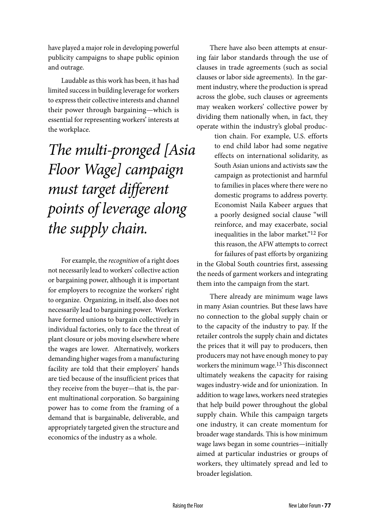have played a major role in developing powerful publicity campaigns to shape public opinion and outrage.

Laudable as this work has been, it has had limited success in building leverage for workers to express their collective interests and channel their power through bargaining—which is essential for representing workers' interests at the workplace.

*The multi-pronged [Asia Floor Wage] campaign must target different points of leverage along the supply chain.* 

For example, the *recognition* of a right does not necessarily lead to workers' collective action or bargaining power, although it is important for employers to recognize the workers' right to organize. Organizing, in itself, also does not necessarily lead to bargaining power. Workers have formed unions to bargain collectively in individual factories, only to face the threat of plant closure or jobs moving elsewhere where the wages are lower. Alternatively, workers demanding higher wages from a manufacturing facility are told that their employers' hands are tied because of the insufficient prices that they receive from the buyer—that is, the parent multinational corporation. So bargaining power has to come from the framing of a demand that is bargainable, deliverable, and appropriately targeted given the structure and economics of the industry as a whole.

There have also been attempts at ensuring fair labor standards through the use of clauses in trade agreements (such as social clauses or labor side agreements). In the garment industry, where the production is spread across the globe, such clauses or agreements may weaken workers' collective power by dividing them nationally when, in fact, they operate within the industry's global produc-

tion chain. For example, U.S. efforts to end child labor had some negative effects on international solidarity, as South Asian unions and activists saw the campaign as protectionist and harmful to families in places where there were no domestic programs to address poverty. Economist Naila Kabeer argues that a poorly designed social clause "will reinforce, and may exacerbate, social inequalities in the labor market."12 For this reason, the AFW attempts to correct for failures of past efforts by organizing in the Global South countries first, assessing the needs of garment workers and integrating them into the campaign from the start.

There already are minimum wage laws in many Asian countries. But these laws have no connection to the global supply chain or to the capacity of the industry to pay. If the retailer controls the supply chain and dictates the prices that it will pay to producers, then producers may not have enough money to pay workers the minimum wage.<sup>13</sup> This disconnect ultimately weakens the capacity for raising wages industry-wide and for unionization. In addition to wage laws, workers need strategies that help build power throughout the global supply chain. While this campaign targets one industry, it can create momentum for broader wage standards. This is how minimum wage laws began in some countries—initially aimed at particular industries or groups of workers, they ultimately spread and led to broader legislation.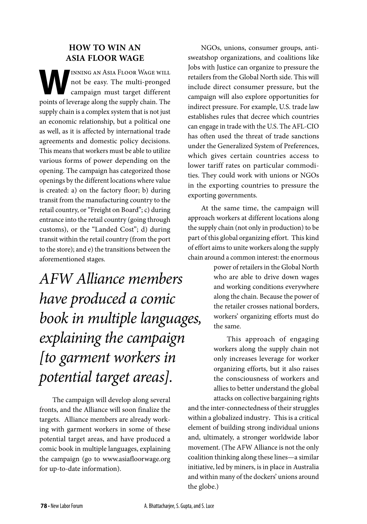#### **How to Win an Asia Floor Wage**

**WEINDING AN ASIA FLOOR WAGE WILL**<br>
campaign must target different<br>
mainta of layounge along the sumply shain. The not be easy. The multi-pronged points of leverage along the supply chain. The supply chain is a complex system that is not just an economic relationship, but a political one as well, as it is affected by international trade agreements and domestic policy decisions. This means that workers must be able to utilize various forms of power depending on the opening. The campaign has categorized those openings by the different locations where value is created: a) on the factory floor; b) during transit from the manufacturing country to the retail country, or "Freight on Board"; c) during entrance into the retail country (going through customs), or the "Landed Cost"; d) during transit within the retail country (from the port to the store); and e) the transitions between the aforementioned stages.

*AFW Alliance members have produced a comic book in multiple languages, explaining the campaign [to garment workers in potential target areas].* 

The campaign will develop along several fronts, and the Alliance will soon finalize the targets. Alliance members are already working with garment workers in some of these potential target areas, and have produced a comic book in multiple languages, explaining the campaign (go to www.asiafloorwage.org for up-to-date information).

NGOs, unions, consumer groups, antisweatshop organizations, and coalitions like Jobs with Justice can organize to pressure the retailers from the Global North side. This will include direct consumer pressure, but the campaign will also explore opportunities for indirect pressure. For example, U.S. trade law establishes rules that decree which countries can engage in trade with the U.S. The AFL-CIO has often used the threat of trade sanctions under the Generalized System of Preferences, which gives certain countries access to lower tariff rates on particular commodities. They could work with unions or NGOs in the exporting countries to pressure the exporting governments.

At the same time, the campaign will approach workers at different locations along the supply chain (not only in production) to be part of this global organizing effort. This kind of effort aims to unite workers along the supply chain around a common interest: the enormous

> power of retailers in the Global North who are able to drive down wages and working conditions everywhere along the chain. Because the power of the retailer crosses national borders, workers' organizing efforts must do the same.

> This approach of engaging workers along the supply chain not only increases leverage for worker organizing efforts, but it also raises the consciousness of workers and allies to better understand the global attacks on collective bargaining rights

and the inter-connectedness of their struggles within a globalized industry. This is a critical element of building strong individual unions and, ultimately, a stronger worldwide labor movement. (The AFW Alliance is not the only coalition thinking along these lines—a similar initiative, led by miners, is in place in Australia and within many of the dockers' unions around the globe.)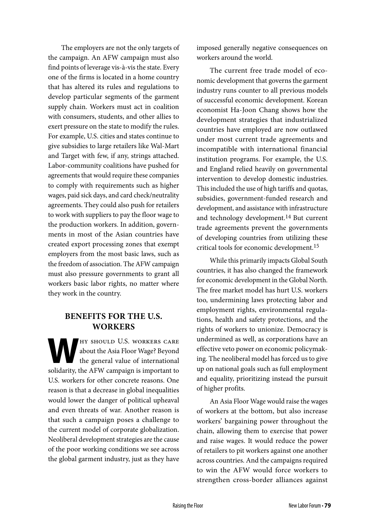The employers are not the only targets of the campaign. An AFW campaign must also find points of leverage vis-à-vis the state. Every one of the firms is located in a home country that has altered its rules and regulations to develop particular segments of the garment supply chain. Workers must act in coalition with consumers, students, and other allies to exert pressure on the state to modify the rules. For example, U.S. cities and states continue to give subsidies to large retailers like Wal-Mart and Target with few, if any, strings attached. Labor-community coalitions have pushed for agreements that would require these companies to comply with requirements such as higher wages, paid sick days, and card check/neutrality agreements. They could also push for retailers to work with suppliers to pay the floor wage to the production workers. In addition, governments in most of the Asian countries have created export processing zones that exempt employers from the most basic laws, such as the freedom of association. The AFW campaign must also pressure governments to grant all workers basic labor rights, no matter where they work in the country.

#### **Benefits for the U.S. Workers**

**W**hy should U.S. workers care about the Asia Floor Wage? Beyond the general value of international solidarity, the AFW campaign is important to U.S. workers for other concrete reasons. One reason is that a decrease in global inequalities would lower the danger of political upheaval and even threats of war. Another reason is that such a campaign poses a challenge to the current model of corporate globalization. Neoliberal development strategies are the cause of the poor working conditions we see across the global garment industry, just as they have

imposed generally negative consequences on workers around the world.

The current free trade model of economic development that governs the garment industry runs counter to all previous models of successful economic development. Korean economist Ha-Joon Chang shows how the development strategies that industrialized countries have employed are now outlawed under most current trade agreements and incompatible with international financial institution programs. For example, the U.S. and England relied heavily on governmental intervention to develop domestic industries. This included the use of high tariffs and quotas, subsidies, government-funded research and development, and assistance with infrastructure and technology development.14 But current trade agreements prevent the governments of developing countries from utilizing these critical tools for economic development.15

While this primarily impacts Global South countries, it has also changed the framework for economic development in the Global North. The free market model has hurt U.S. workers too, undermining laws protecting labor and employment rights, environmental regulations, health and safety protections, and the rights of workers to unionize. Democracy is undermined as well, as corporations have an effective veto power on economic policymaking. The neoliberal model has forced us to give up on national goals such as full employment and equality, prioritizing instead the pursuit of higher profits.

An Asia Floor Wage would raise the wages of workers at the bottom, but also increase workers' bargaining power throughout the chain, allowing them to exercise that power and raise wages. It would reduce the power of retailers to pit workers against one another across countries. And the campaigns required to win the AFW would force workers to strengthen cross-border alliances against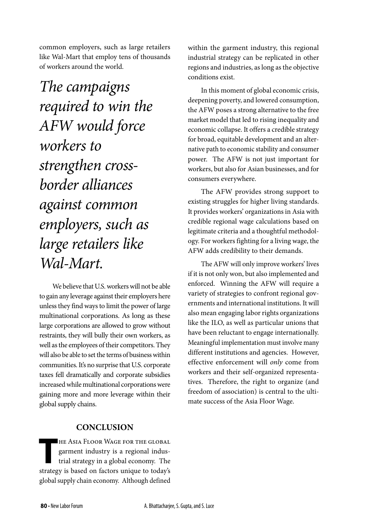common employers, such as large retailers like Wal-Mart that employ tens of thousands of workers around the world.

*The campaigns required to win the AFW would force workers to strengthen crossborder alliances against common employers, such as large retailers like Wal-Mart.* 

We believe that U.S. workers will not be able to gain any leverage against their employers here unless they find ways to limit the power of large multinational corporations. As long as these large corporations are allowed to grow without restraints, they will bully their own workers, as well as the employees of their competitors. They will also be able to set the terms of business within communities. It's no surprise that U.S. corporate taxes fell dramatically and corporate subsidies increased while multinational corporations were gaining more and more leverage within their global supply chains.

#### **Conclusion**

THE ASIA FLOOR WAGE FOR THE GLOBAL<br>garment industry is a regional indus-<br>trial strategy in a global economy. The garment industry is a regional industrial strategy in a global economy. The strategy is based on factors unique to today's global supply chain economy. Although defined

within the garment industry, this regional industrial strategy can be replicated in other regions and industries, as long as the objective conditions exist.

In this moment of global economic crisis, deepening poverty, and lowered consumption, the AFW poses a strong alternative to the free market model that led to rising inequality and economic collapse. It offers a credible strategy for broad, equitable development and an alternative path to economic stability and consumer power. The AFW is not just important for workers, but also for Asian businesses, and for consumers everywhere.

The AFW provides strong support to existing struggles for higher living standards. It provides workers' organizations in Asia with credible regional wage calculations based on legitimate criteria and a thoughtful methodology. For workers fighting for a living wage, the AFW adds credibility to their demands.

The AFW will only improve workers' lives if it is not only won, but also implemented and enforced. Winning the AFW will require a variety of strategies to confront regional governments and international institutions. It will also mean engaging labor rights organizations like the ILO, as well as particular unions that have been reluctant to engage internationally. Meaningful implementation must involve many different institutions and agencies. However, effective enforcement will *only* come from workers and their self-organized representatives. Therefore, the right to organize (and freedom of association) is central to the ultimate success of the Asia Floor Wage.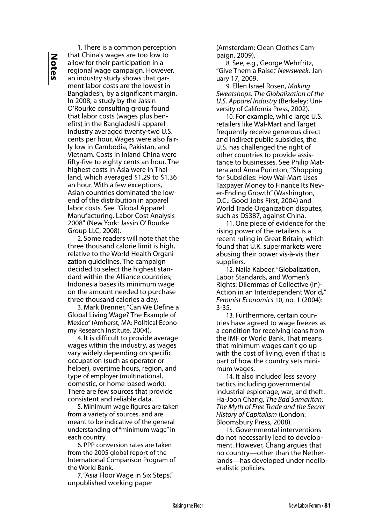**Notes**

1. There is a common perception that China's wages are too low to allow for their participation in a regional wage campaign. However, an industry study shows that garment labor costs are the lowest in Bangladesh, by a significant margin. In 2008, a study by the Jassin O'Rourke consulting group found that labor costs (wages plus benefits) in the Bangladeshi apparel industry averaged twenty-two U.S. cents per hour. Wages were also fairly low in Cambodia, Pakistan, and Vietnam. Costs in inland China were fifty-five to eighty cents an hour. The highest costs in Asia were in Thailand, which averaged \$1.29 to \$1.36 an hour. With a few exceptions, Asian countries dominated the lowend of the distribution in apparel labor costs. See "Global Apparel Manufacturing. Labor Cost Analysis 2008" (New York: Jassin O' Rourke Group LLC, 2008).

2. Some readers will note that the three thousand calorie limit is high, relative to the World Health Organization guidelines. The campaign decided to select the highest standard within the Alliance countries; Indonesia bases its minimum wage on the amount needed to purchase three thousand calories a day.

3. Mark Brenner, "Can We Define a Global Living Wage? The Example of Mexico" (Amherst, MA: Political Economy Research Institute, 2004).

4. It is difficult to provide average wages within the industry, as wages vary widely depending on specific occupation (such as operator or helper), overtime hours, region, and type of employer (multinational, domestic, or home-based work). There are few sources that provide consistent and reliable data.

5. Minimum wage figures are taken from a variety of sources, and are meant to be indicative of the general understanding of "minimum wage" in each country.

6. PPP conversion rates are taken from the 2005 global report of the International Comparison Program of the World Bank.

7. "Asia Floor Wage in Six Steps," unpublished working paper

(Amsterdam: Clean Clothes Campaign, 2009).

8. See, e.g., George Wehrfritz, "Give Them a Raise," *Newsweek*, January 17, 2009.

9. Ellen Israel Rosen, *Making Sweatshops: The Globalization of the U.S. Apparel Industry* (Berkeley: University of California Press, 2002).

10. For example, while large U.S. retailers like Wal-Mart and Target frequently receive generous direct and indirect public subsidies, the U.S. has challenged the right of other countries to provide assistance to businesses. See Philip Mattera and Anna Purinton, "Shopping for Subsidies: How Wal-Mart Uses Taxpayer Money to Finance Its Never-Ending Growth" (Washington, D.C.: Good Jobs First, 2004) and World Trade Organization disputes, such as DS387, against China.

11. One piece of evidence for the rising power of the retailers is a recent ruling in Great Britain, which found that U.K. supermarkets were abusing their power vis-à-vis their suppliers.

12. Naila Kabeer, "Globalization, Labor Standards, and Women's Rights: Dilemmas of Collective (In)- Action in an Interdependent World**,**" *Feminist Economics* 10, no. 1 (2004): 3-35.

13. Furthermore, certain countries have agreed to wage freezes as a condition for receiving loans from the IMF or World Bank. That means that minimum wages can't go up with the cost of living, even if that is part of how the country sets minimum wages.

14. It also included less savory tactics including governmental industrial espionage, war, and theft. Ha-Joon Chang, *The Bad Samaritan: The Myth of Free Trade and the Secret History of Capitalism* (London: Bloomsbury Press, 2008).

15. Governmental interventions do not necessarily lead to development. However, Chang argues that no country—other than the Netherlands—has developed under neoliberalistic policies.